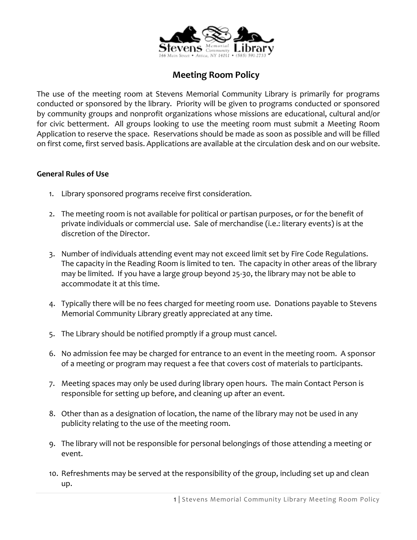

## **Meeting Room Policy**

The use of the meeting room at Stevens Memorial Community Library is primarily for programs conducted or sponsored by the library. Priority will be given to programs conducted or sponsored by community groups and nonprofit organizations whose missions are educational, cultural and/or for civic betterment. All groups looking to use the meeting room must submit a Meeting Room Application to reserve the space. Reservations should be made as soon as possible and will be filled on first come, first served basis. Applications are available at the circulation desk and on our website.

## **General Rules of Use**

- 1. Library sponsored programs receive first consideration.
- 2. The meeting room is not available for political or partisan purposes, or for the benefit of private individuals or commercial use. Sale of merchandise (i.e.: literary events) is at the discretion of the Director.
- 3. Number of individuals attending event may not exceed limit set by Fire Code Regulations. The capacity in the Reading Room is limited to ten. The capacity in other areas of the library may be limited. If you have a large group beyond 25-30, the library may not be able to accommodate it at this time.
- 4. Typically there will be no fees charged for meeting room use. Donations payable to Stevens Memorial Community Library greatly appreciated at any time.
- 5. The Library should be notified promptly if a group must cancel.
- 6. No admission fee may be charged for entrance to an event in the meeting room. A sponsor of a meeting or program may request a fee that covers cost of materials to participants.
- 7. Meeting spaces may only be used during library open hours. The main Contact Person is responsible for setting up before, and cleaning up after an event.
- 8. Other than as a designation of location, the name of the library may not be used in any publicity relating to the use of the meeting room.
- 9. The library will not be responsible for personal belongings of those attending a meeting or event.
- 10. Refreshments may be served at the responsibility of the group, including set up and clean up.